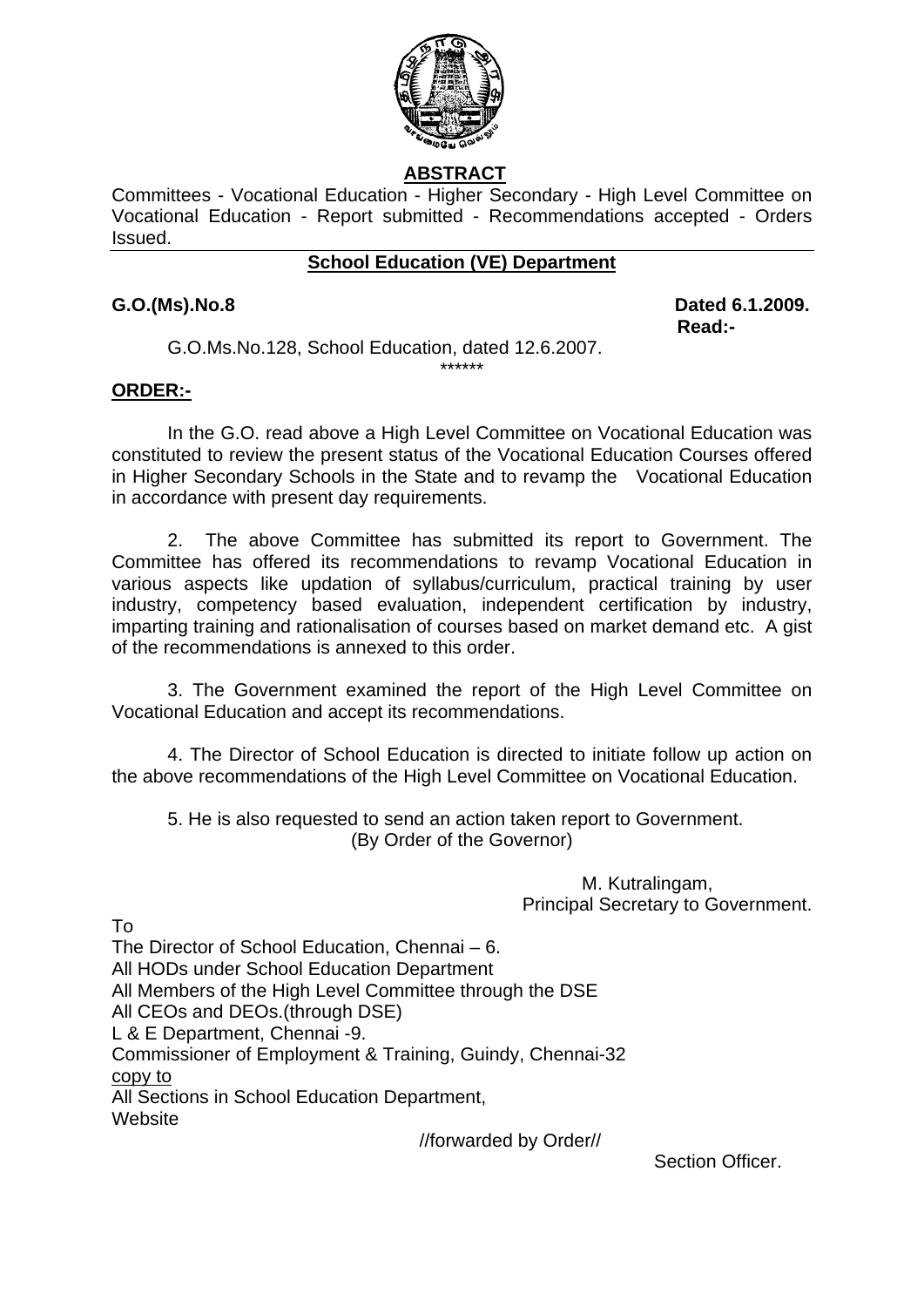

# **ABSTRACT**

Committees - Vocational Education - Higher Secondary - High Level Committee on Vocational Education - Report submitted - Recommendations accepted - Orders Issued.

## **School Education (VE) Department**

**G.O.(Ms).No.8 Dated 6.1.2009.** 

**Read:-**  $\blacksquare$ G.O.Ms.No.128, School Education, dated 12.6.2007.

## **ORDER:-**

In the G.O. read above a High Level Committee on Vocational Education was constituted to review the present status of the Vocational Education Courses offered in Higher Secondary Schools in the State and to revamp the Vocational Education in accordance with present day requirements.

\*\*\*\*\*\*

 2. The above Committee has submitted its report to Government. The Committee has offered its recommendations to revamp Vocational Education in various aspects like updation of syllabus/curriculum, practical training by user industry, competency based evaluation, independent certification by industry, imparting training and rationalisation of courses based on market demand etc. A gist of the recommendations is annexed to this order.

3. The Government examined the report of the High Level Committee on Vocational Education and accept its recommendations.

4. The Director of School Education is directed to initiate follow up action on the above recommendations of the High Level Committee on Vocational Education.

 5. He is also requested to send an action taken report to Government. (By Order of the Governor)

> M. Kutralingam, Principal Secretary to Government.

To

The Director of School Education, Chennai – 6. All HODs under School Education Department All Members of the High Level Committee through the DSE All CEOs and DEOs.(through DSE) L & E Department, Chennai -9. Commissioner of Employment & Training, Guindy, Chennai-32 copy to All Sections in School Education Department, **Website** //forwarded by Order//

Section Officer.